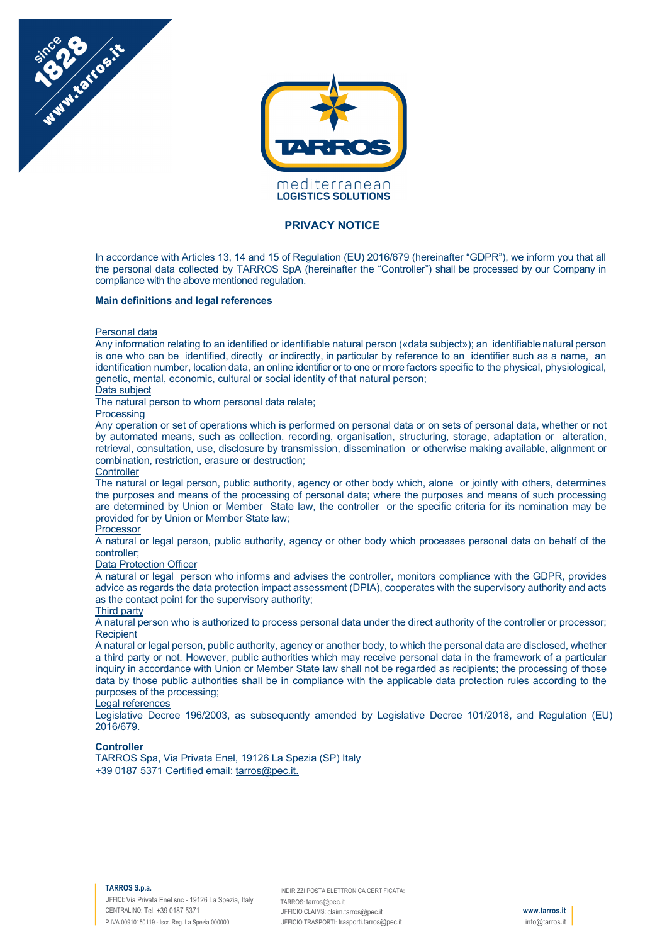



# **PRIVACY NOTICE**

In accordance with Articles 13, 14 and 15 of Regulation (EU) 2016/679 (hereinafter "GDPR"), we inform you that all the personal data collected by TARROS SpA (hereinafter the "Controller") shall be processed by our Company in compliance with the above mentioned regulation.

## **Main definitions and legal references**

## Personal data

Any information relating to an identified or identifiable natural person («data subject»); an identifiable natural person is one who can be identified, directly or indirectly, in particular by reference to an identifier such as a name, an identification number, location data, an online identifier or to one or more factors specific to the physical, physiological, genetic, mental, economic, cultural or social identity of that natural person;

#### Data subject

The natural person to whom personal data relate;

**Processing** 

Any operation or set of operations which is performed on personal data or on sets of personal data, whether or not by automated means, such as collection, recording, organisation, structuring, storage, adaptation or alteration, retrieval, consultation, use, disclosure by transmission, dissemination or otherwise making available, alignment or combination, restriction, erasure or destruction;

#### **Controller**

The natural or legal person, public authority, agency or other body which, alone or jointly with others, determines the purposes and means of the processing of personal data; where the purposes and means of such processing are determined by Union or Member State law, the controller or the specific criteria for its nomination may be provided for by Union or Member State law;

## Processor

A natural or legal person, public authority, agency or other body which processes personal data on behalf of the controller;

## Data Protection Officer

A natural or legal person who informs and advises the controller, monitors compliance with the GDPR, provides advice as regards the data protection impact assessment (DPIA), cooperates with the supervisory authority and acts as the contact point for the supervisory authority;

# Third party

A natural person who is authorized to process personal data under the direct authority of the controller or processor; **Recipient** 

A natural or legal person, public authority, agency or another body, to which the personal data are disclosed, whether a third party or not. However, public authorities which may receive personal data in the framework of a particular inquiry in accordance with Union or Member State law shall not be regarded as recipients; the processing of those data by those public authorities shall be in compliance with the applicable data protection rules according to the purposes of the processing;

# Legal references

Legislative Decree 196/2003, as subsequently amended by Legislative Decree 101/2018, and Regulation (EU) 2016/679.

# **Controller**

TARROS Spa, Via Privata Enel, 19126 La Spezia (SP) Italy +39 0187 5371 Certified email: tarros@pec.it.

#### **TARROS S.p.a.**

UFFICI: Via Privata Enel snc - 19126 La Spezia, Italy CENTRALINO: Tel. +39 0187 5371 P.IVA 00910150119 - Iscr. Reg. La Spezia 000000

INDIRIZZI POSTA ELETTRONICA CERTIFICATA: TARROS: tarros@pec.it UFFICIO CLAIMS: claim.tarros@pec.it UFFICIO TRASPORTI: trasporti.tarros@pec.it

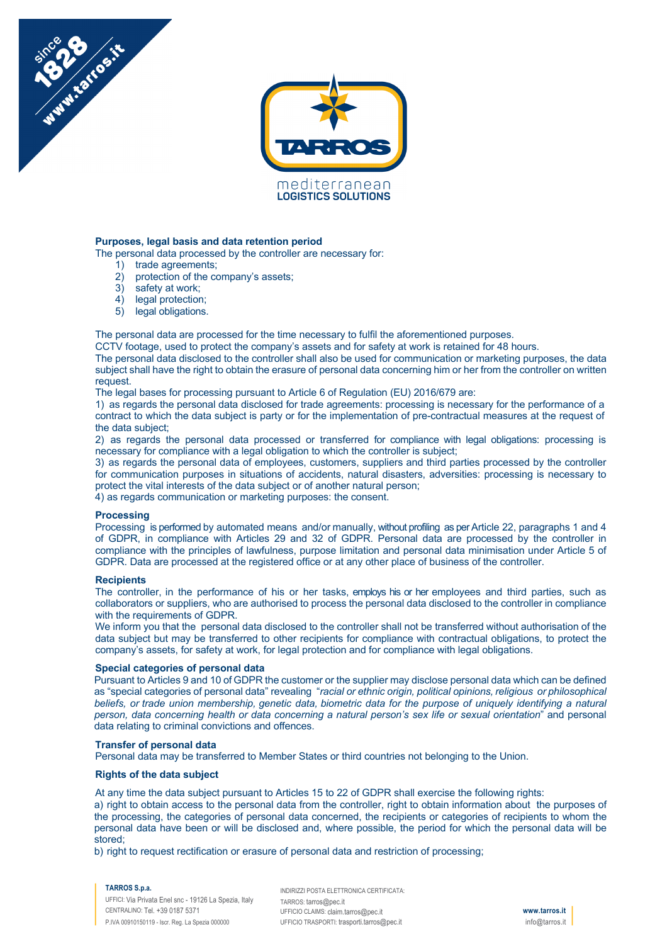

# **Purposes, legal basis and data retention period**

The personal data processed by the controller are necessary for:

1) trade agreements;

Numitation it

- 2) protection of the company's assets;
- 3) safety at work;
- 4) legal protection;
- 5) legal obligations.

The personal data are processed for the time necessary to fulfil the aforementioned purposes.

CCTV footage, used to protect the company's assets and for safety at work is retained for 48 hours.

The personal data disclosed to the controller shall also be used for communication or marketing purposes, the data subject shall have the right to obtain the erasure of personal data concerning him or her from the controller on written request

The legal bases for processing pursuant to Article 6 of Regulation (EU) 2016/679 are:

1) as regards the personal data disclosed for trade agreements: processing is necessary for the performance of a contract to which the data subject is party or for the implementation of pre-contractual measures at the request of the data subject;

2) as regards the personal data processed or transferred for compliance with legal obligations: processing is necessary for compliance with a legal obligation to which the controller is subject;

3) as regards the personal data of employees, customers, suppliers and third parties processed by the controller for communication purposes in situations of accidents, natural disasters, adversities: processing is necessary to protect the vital interests of the data subject or of another natural person;

4) as regards communication or marketing purposes: the consent.

# **Processing**

Processing is performed by automated means and/or manually, without profiling as per Article 22, paragraphs 1 and 4 of GDPR, in compliance with Articles 29 and 32 of GDPR. Personal data are processed by the controller in compliance with the principles of lawfulness, purpose limitation and personal data minimisation under Article 5 of GDPR. Data are processed at the registered office or at any other place of business of the controller.

#### **Recipients**

The controller, in the performance of his or her tasks, employs his or her employees and third parties, such as collaborators or suppliers, who are authorised to process the personal data disclosed to the controller in compliance with the requirements of GDPR.

We inform you that the personal data disclosed to the controller shall not be transferred without authorisation of the data subject but may be transferred to other recipients for compliance with contractual obligations, to protect the company's assets, for safety at work, for legal protection and for compliance with legal obligations.

# **Special categories of personal data**

Pursuant to Articles 9 and 10 of GDPR the customer or the supplier may disclose personal data which can be defined as "special categories of personal data" revealing "*racial or ethnic origin, political opinions, religious or philosophical beliefs, or trade union membership, genetic data, biometric data for the purpose of uniquely identifying a natural person, data concerning health or data concerning a natural person's sex life or sexual orientation*" and personal data relating to criminal convictions and offences.

### **Transfer of personal data**

Personal data may be transferred to Member States or third countries not belonging to the Union.

#### **Rights of the data subject**

At any time the data subject pursuant to Articles 15 to 22 of GDPR shall exercise the following rights:

a) right to obtain access to the personal data from the controller, right to obtain information about the purposes of the processing, the categories of personal data concerned, the recipients or categories of recipients to whom the personal data have been or will be disclosed and, where possible, the period for which the personal data will be stored;

b) right to request rectification or erasure of personal data and restriction of processing;

### **TARROS S.p.a.**

UFFICI: Via Privata Enel snc - 19126 La Spezia, Italy CENTRALINO: Tel. +39 0187 5371 P.IVA 00910150119 - Iscr. Reg. La Spezia 000000

INDIRIZZI POSTA ELETTRONICA CERTIFICATA: TARROS: tarros@pec.it UFFICIO CLAIMS: claim.tarros@pec.it UFFICIO TRASPORTI: trasporti.tarros@pec.it

**www.tarros.it** info@tarros.it